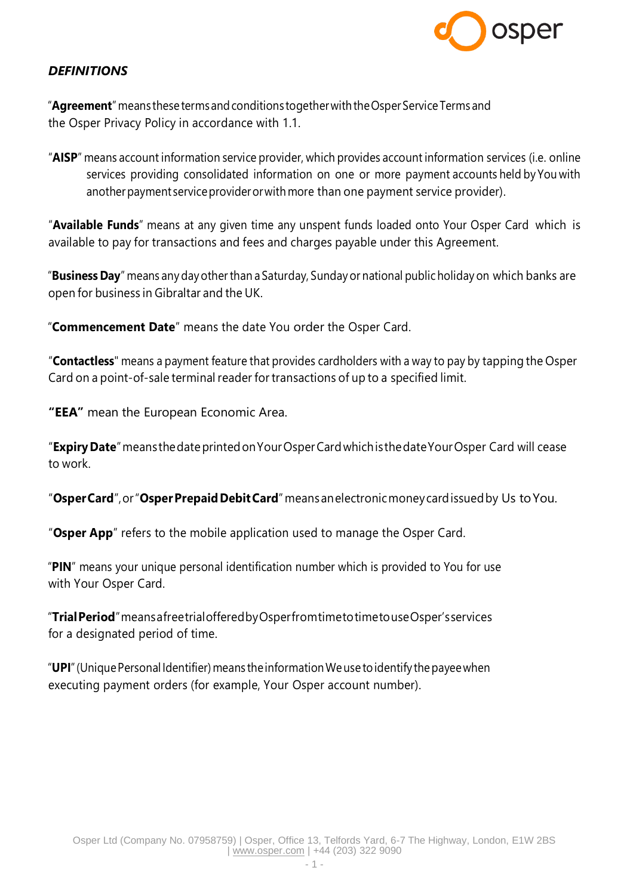

# *DEFINITIONS*

"**Agreement**"means these termsandconditions togetherwith theOsperService Terms and the Osper Privacy Policy in accordance with 1.1.

"**AISP**" means account information service provider, which provides account information services (i.e. online services providing consolidated information on one or more payment accounts held by You with another payment service provider or with more than one payment service provider).

"**Available Funds**" means at any given time any unspent funds loaded onto Your Osper Card which is available to pay for transactions and fees and charges payable under this Agreement.

"**Business Day**" means any dayotherthan a Saturday, Sunday or national public holiday on which banks are open for business in Gibraltar and the UK.

"**Commencement Date**" means the date You order the Osper Card.

"**Contactless**" means a payment feature that provides cardholders with a way to pay by tapping the Osper Card on a point-of-sale terminal reader for transactions of up to a specified limit.

**"EEA"** mean the European Economic Area.

"**ExpiryDate**"meansthedateprintedonYourOsperCardwhichisthedateYourOsper Card will cease to work.

"**OsperCard**",or"**OsperPrepaidDebitCard**" meansanelectronicmoneycardissuedby Us toYou.

"**Osper App**" refers to the mobile application used to manage the Osper Card.

"**PIN**" means your unique personal identification number which is provided to You for use with Your Osper Card.

"**TrialPeriod**"meansafreetrialofferedbyOsperfromtimetotimetouseOsper'sservices for a designated period of time.

"**UPI**" (Unique Personal Identifier) means the information We use to identify the payee when executing payment orders (for example, Your Osper account number).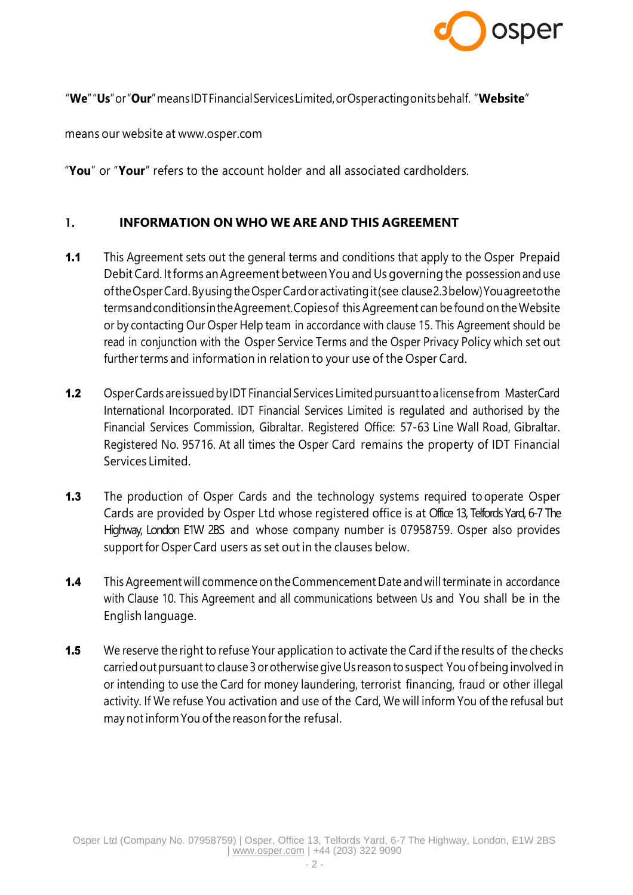

### "**We**""**Us**"or"**Our**"meansIDTFinancialServicesLimited,orOsperactingonitsbehalf. "**Website**"

means our website at [www.osper.com](http://www.osper.com/)

"**You**" or "**Your**" refers to the account holder and all associated cardholders.

### 1. **INFORMATION ON WHO WE ARE AND THIS AGREEMENT**

- **1.1** This Agreement sets out the general terms and conditions that apply to the Osper Prepaid Debit Card. Itforms anAgreement betweenYou and Us governing the possession anduse oftheOsperCard.ByusingtheOsperCardoractivatingit(see clause2.3below)Youagreetothe termsandconditionsintheAgreement.Copiesof this Agreement can be found on the Website or by contacting Our Osper Help team in accordance with clause 15. This Agreement should be read in conjunction with the Osper Service Terms and the Osper Privacy Policy which set out further terms and information in relation to your use of the Osper Card.
- 1.2 Osper Cards are issued by IDT Financial Services Limited pursuant to a license from MasterCard International Incorporated. IDT Financial Services Limited is regulated and authorised by the Financial Services Commission, Gibraltar. Registered Office: 57-63 Line Wall Road, Gibraltar. Registered No. 95716. At all times the Osper Card remains the property of IDT Financial Services Limited.
- **1.3** The production of Osper Cards and the technology systems required to operate Osper Cards are provided by Osper Ltd whose registered office is at Office 13, Telfords Yard, 6-7 The Highway, London E1W 2BS and whose company number is 07958759. Osper also provides support for Osper Card users as set out in the clauses below.
- **1.4** This Agreement will commence on the Commencement Date and will terminate in accordance with Clause 10. This Agreement and all communications between Us and You shall be in the English language.
- **1.5** We reserve the right to refuse Your application to activate the Card if the results of the checks carried out pursuant to clause 3 or otherwise give Us reason to suspect You of being involved in or intending to use the Card for money laundering, terrorist financing, fraud or other illegal activity. If We refuse You activation and use of the Card, We will inform You of the refusal but may notinform You ofthe reason for the refusal.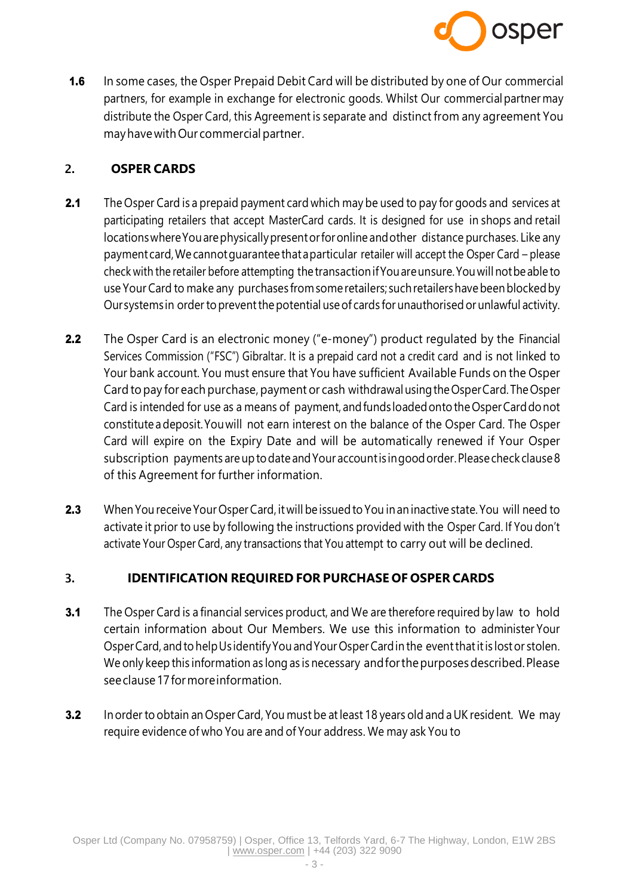

**1.6** In some cases, the Osper Prepaid Debit Card will be distributed by one of Our commercial partners, for example in exchange for electronic goods. Whilst Our commercial partner may distribute the Osper Card, this Agreement is separate and distinct from any agreement You mayhavewithOur commercial partner.

## 2. **OSPER CARDS**

- 2.1 The Osper Card is a prepaid payment card which may be used to pay for goods and services at participating retailers that accept MasterCard cards. It is designed for use in shops and retail locationswhereYouarephysicallypresentorforonline andother distance purchases. Like any paymentcard,We cannotguarantee thataparticular retailer will accept the Osper Card – please check with the retailer before attempting thetransactionifYouareunsure.Youwillnotbeable to use Your Card to make any purchases fromsomeretailers; suchretailershavebeenblockedby Our systems in order to prevent the potential use of cards for unauthorised or unlawful activity.
- **2.2** The Osper Card is an electronic money ("e-money") product regulated by the Financial Services Commission ("FSC") Gibraltar. It is a prepaid card not a credit card and is not linked to Your bank account. You must ensure that You have sufficient Available Funds on the Osper Card to pay for each purchase, payment or cash withdrawalusingtheOsperCard.TheOsper Card is intended for use as a means of payment, and funds loaded onto the Osper Card do not constitute adeposit.Youwill not earn interest on the balance of the Osper Card. The Osper Card will expire on the Expiry Date and will be automatically renewed if Your Osper subscription payments are up to date and Your account is in good order. Please check clause 8 of this Agreement for further information.
- 2.3 When You receive Your Osper Card, it will be issued to You in an inactive state. You will need to activate it prior to use by following the instructions provided with the Osper Card. If You don't activate Your Osper Card, any transactions that You attempt to carry out will be declined.

### 3. **IDENTIFICATION REQUIRED FOR PURCHASE OF OSPER CARDS**

- **3.1** The Osper Card is a financial services product, and We are therefore required by law to hold certain information about Our Members. We use this information to administer Your Osper Card, and to help Usidentify You and Your Osper Card in the event that it is lost or stolen. We only keep this information as long as is necessary andforthepurposesdescribed.Please seeclause17formoreinformation.
- 3.2 In order to obtain an Osper Card, You must be at least 18 years old and a UK resident. We may require evidence of who You are and of Your address. We may ask You to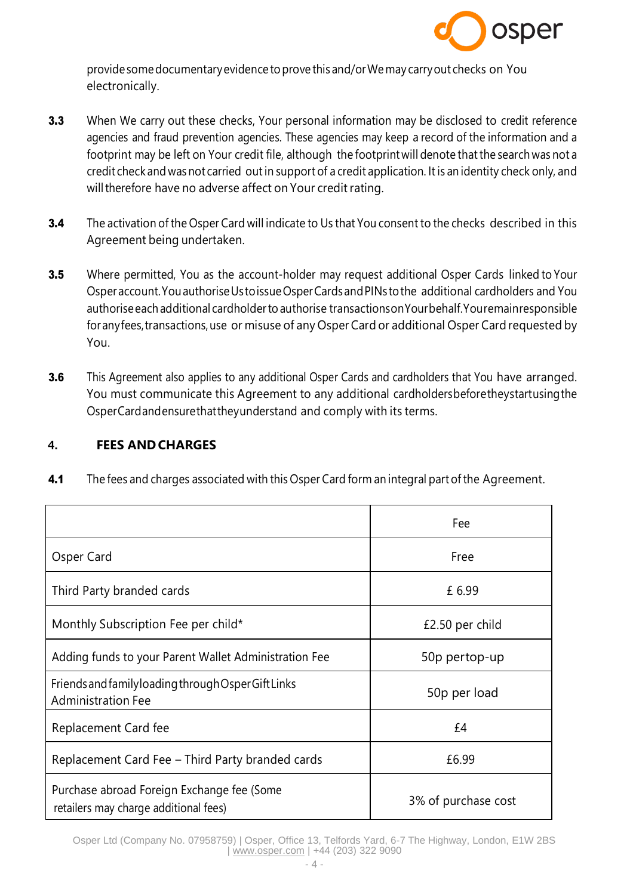

providesomedocumentaryevidence toprove this and/orWemay carryout checks on You electronically.

- **3.3** When We carry out these checks, Your personal information may be disclosed to credit reference agencies and fraud prevention agencies. These agencies may keep a record of the information and a footprint may be left on Your credit file, although the footprint will denote that the search was not a credit check andwasnot carried outin support of a credit application. It is an identity check only, and will therefore have no adverse affect on Your credit rating.
- **3.4** The activation of the Osper Card will indicate to Us that You consent to the checks described in this Agreement being undertaken.
- **3.5** Where permitted, You as the account-holder may request additional Osper Cards linked to Your Osperaccount.YouauthoriseUstoissueOsperCardsandPINs tothe additional cardholders and You authorise each additional cardholder to authorise transactionson Yourbehalf. Youremainresponsible for any fees, transactions, use or misuse of any Osper Card or additional Osper Card requested by You.
- **3.6** This Agreement also applies to any additional Osper Cards and cardholders that You have arranged. You must communicate this Agreement to any additional cardholdersbeforetheystartusingthe OsperCardandensurethattheyunderstand and comply with its terms.

### 4. **FEES ANDCHARGES**

| 4.1 | The fees and charges associated with this Osper Card form an integral part of the Agreement. |  |
|-----|----------------------------------------------------------------------------------------------|--|
|-----|----------------------------------------------------------------------------------------------|--|

|                                                                                     | Fee                 |
|-------------------------------------------------------------------------------------|---------------------|
| Osper Card                                                                          | Free                |
| Third Party branded cards                                                           | £ 6.99              |
| Monthly Subscription Fee per child*                                                 | £2.50 per child     |
| Adding funds to your Parent Wallet Administration Fee                               | 50p pertop-up       |
| Friends and family loading through Osper Gift Links<br><b>Administration Fee</b>    | 50p per load        |
| Replacement Card fee                                                                | £4                  |
| Replacement Card Fee - Third Party branded cards                                    | £6.99               |
| Purchase abroad Foreign Exchange fee (Some<br>retailers may charge additional fees) | 3% of purchase cost |

Osper Ltd (Company No. 07958759) | Osper, Office 13, Telfords Yard, 6-7 The Highway, London, E1W 2BS | [www.osper.com](http://www.osper.com/) | +44 (203) 322 9090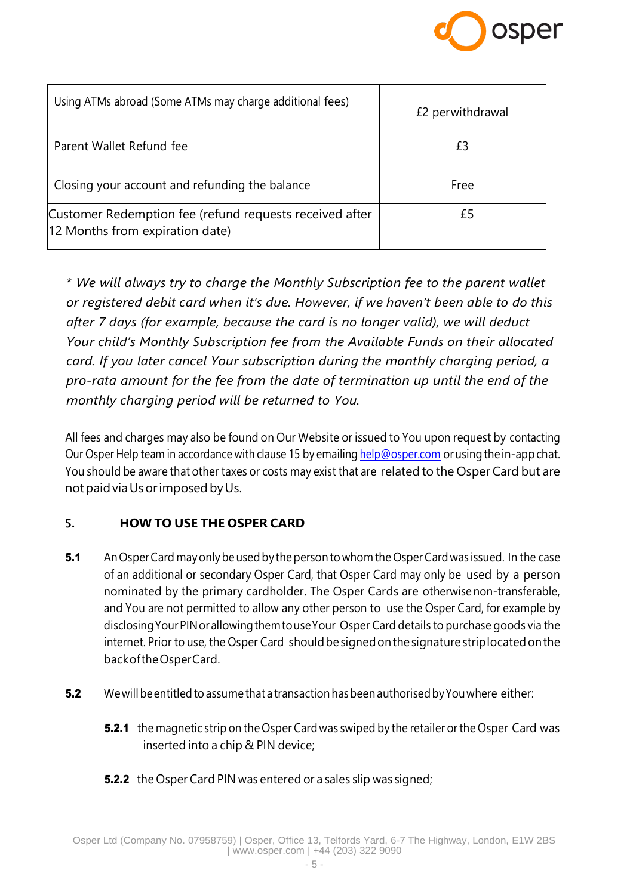

| Using ATMs abroad (Some ATMs may charge additional fees)                                   | £2 perwithdrawal |
|--------------------------------------------------------------------------------------------|------------------|
| Parent Wallet Refund fee                                                                   | £3               |
| Closing your account and refunding the balance                                             | Free             |
| Customer Redemption fee (refund requests received after<br>12 Months from expiration date) | £5               |

\* *We will always try to charge the Monthly Subscription fee to the parent wallet or registered debit card when it's due. However, if we haven't been able to do this after 7 days (for example, because the card is no longer valid), we will deduct Your child's Monthly Subscription fee from the Available Funds on their allocated card. If you later cancel Your subscription during the monthly charging period, a pro-rata amount for the fee from the date of termination up until the end of the monthly charging period will be returned to You.*

All fees and charges may also be found on Our Website or issued to You upon request by contacting Our Osper Help team in accordance with clause 15 by emailing [help@osper.com](mailto:help@osper.com) or using the in-app chat. You should be aware that other taxes or costs may exist that are related to the Osper Card but are not paid via Us or imposed by Us.

### 5. **HOW TO USE THE OSPER CARD**

- 5.1 An Osper Card may only be used by the person to whom the Osper Card was issued. In the case of an additional or secondary Osper Card, that Osper Card may only be used by a person nominated by the primary cardholder. The Osper Cards are otherwise non-transferable, and You are not permitted to allow any other person to use the Osper Card, for example by disclosingYourPINorallowingthemtouseYour Osper Card details to purchase goods via the internet. Prior to use, the Osper Card should be signed on the signature striplocated on the backoftheOsperCard.
- **5.2** We will be entitled to assume that a transaction has been authorised by You where either:
	- **5.2.1** the magnetic strip on the Osper Card was swiped by the retailer or the Osper Card was inserted into a chip & PIN device;
	- **5.2.2** the Osper Card PIN was entered or a sales slip was signed;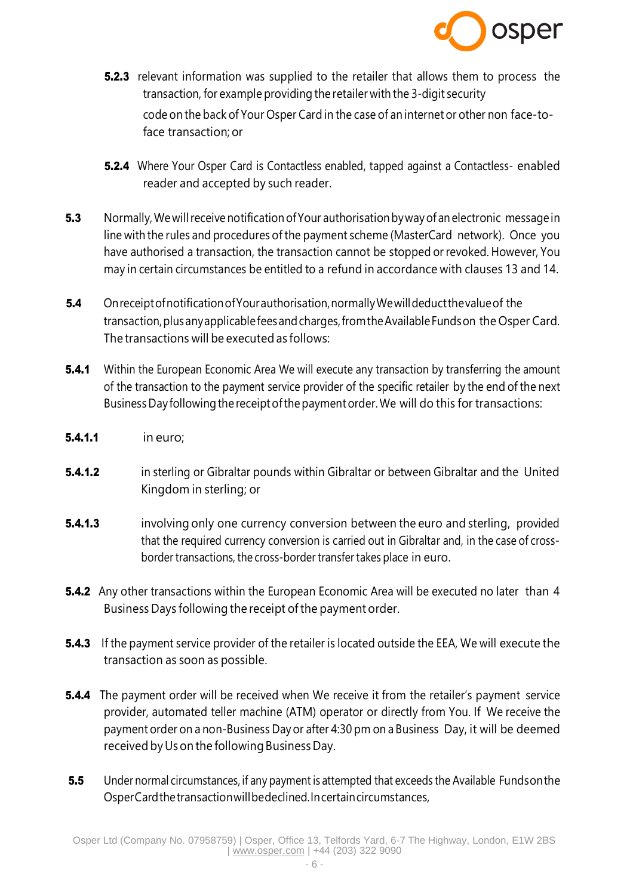

- **5.2.3** relevant information was supplied to the retailer that allows them to process the transaction, for example providing the retailer with the 3-digit security code on the back of Your Osper Card in the case of an internet or other non face-toface transaction; or
- **5.2.4** Where Your Osper Card is Contactless enabled, tapped against a Contactless- enabled reader and accepted by such reader.
- **5.3** Normally, We will receive notification of Your authorisation by way of an electronic message in line with the rules and procedures of the payment scheme (MasterCard network). Once you have authorised a transaction, the transaction cannot be stopped or revoked. However, You may in certain circumstances be entitled to a refund in accordance with clauses 13 and 14.
- **5.4** Onreceipt of notification of Your authorisation, normally We will deduct the value of the transaction, plus any applicable fees and charges, from the Available Funds on the Osper Card. The transactions will be executed as follows:
- **5.4.1** Within the European Economic Area We will execute any transaction by transferring the amount of the transaction to the payment service provider of the specific retailer by the end of the next Business Day following the receipt of the payment order. We will do this for transactions:
- **5.4.1.1** in euro;
- **5.4.1.2** in sterling or Gibraltar pounds within Gibraltar or between Gibraltar and the United Kingdom in sterling; or
- **5.4.1.3** involving only one currency conversion between the euro and sterling, provided that the required currency conversion is carried out in Gibraltar and, in the case of crossborder transactions, the cross-border transfer takes place in euro.
- **5.4.2** Any other transactions within the European Economic Area will be executed no later than 4 Business Days following the receipt ofthe payment order.
- **5.4.3** If the payment service provider of the retailer is located outside the EEA, We will execute the transaction as soon as possible.
- **5.4.4** The payment order will be received when We receive it from the retailer's payment service provider, automated teller machine (ATM) operator or directly from You. If We receive the payment order on a non-Business Day or after 4:30 pm on a Business Day, it will be deemed received by Us on the following Business Day.
- 5.5 Under normal circumstances, if any payment is attempted that exceeds the Available Funds on the OsperCardthetransactionwillbedeclined.Incertaincircumstances,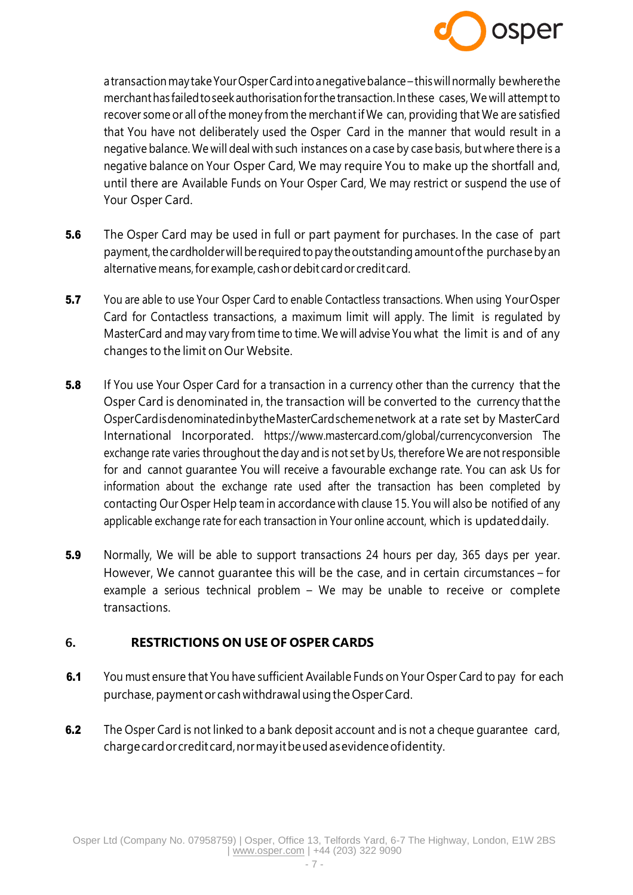

atransaction maytakeYourOsperCardintoanegativebalance –thiswillnormally bewherethe merchanthas failed to seek authorisation for the transaction. In these cases, We will attempt to recover some or all ofthe money from the merchantif We can, providing that We are satisfied that You have not deliberately used the Osper Card in the manner that would result in a negative balance. We will deal with such instances on a case by case basis, but where there is a negative balance on Your Osper Card, We may require You to make up the shortfall and, until there are Available Funds on Your Osper Card, We may restrict or suspend the use of Your Osper Card.

- **5.6** The Osper Card may be used in full or part payment for purchases. In the case of part payment, the cardholder will be required to pay the outstanding amount of the purchase by an alternative means, for example, cash or debit card or credit card.
- 5.7 You are able to use Your Osper Card to enable Contactless transactions. When using Your Osper Card for Contactless transactions, a maximum limit will apply. The limit is regulated by MasterCard and may vary from time to time. We will advise You what the limit is and of any changes to the limit on Our Website.
- **5.8** If You use Your Osper Card for a transaction in a currency other than the currency that the Osper Card is denominated in, the transaction will be converted to the currency thatthe OsperCardisdenominatedinbytheMasterCardschemenetwork at a rate set by MasterCard International Incorporated. https:/[/www.mastercard.com/global/currencyconversion T](http://www.mastercard.com/global/currencyconversion)he exchange rate varies throughout the day and is not set byUs, therefore We are notresponsible for and cannot guarantee You will receive a favourable exchange rate. You can ask Us for information about the exchange rate used after the transaction has been completed by contacting Our Osper Help team in accordance with clause 15. You will also be notified of any applicable exchange rate for each transaction in Your online account, which is updated daily.
- **5.9** Normally, We will be able to support transactions 24 hours per day, 365 days per year. However, We cannot guarantee this will be the case, and in certain circumstances – for example a serious technical problem – We may be unable to receive or complete transactions.

### 6. **RESTRICTIONS ON USE OF OSPER CARDS**

- **6.1** You must ensure that You have sufficient Available Funds on Your Osper Card to pay for each purchase, payment or cash withdrawal using the Osper Card.
- **6.2** The Osper Card is not linked to a bank deposit account and is not a cheque quarantee card, chargecardor creditcard,normayitbeusedasevidenceofidentity.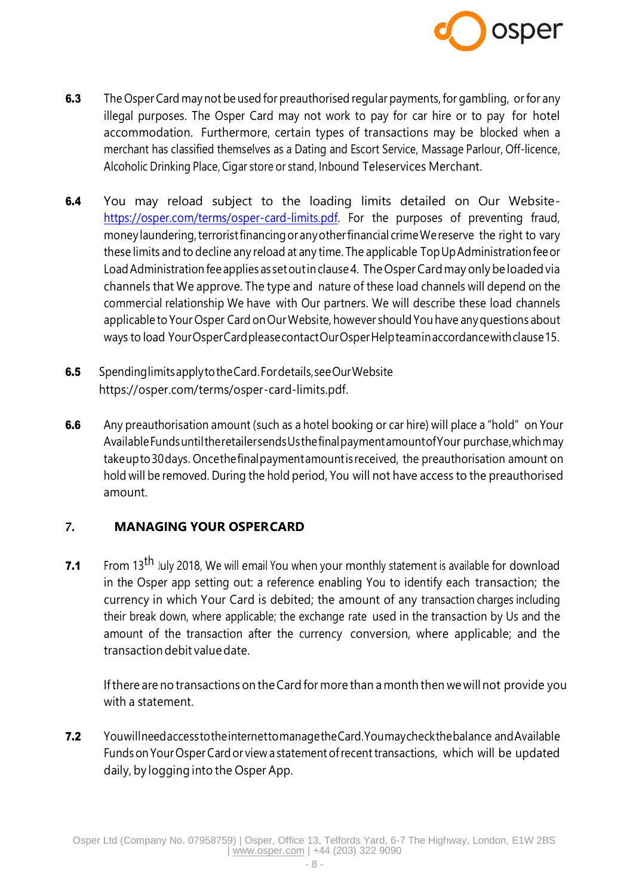

- 6.3 The Osper Card may not be used for preauthorised regular payments, for gambling, or for any illegal purposes. The Osper Card may not work to pay for car hire or to pay for hotel accommodation. Furthermore, certain types of transactions may be blocked when a merchant has classified themselves as a Dating and Escort Service, Massage Parlour, Off-licence, Alcoholic Drinking Place, Cigar store or stand, Inbound Teleservices Merchant.
- 6.4 You may reload subject to the loading limits detailed on Our Website[https://osper.com/terms/osper-card-limits.pdf.](https://osper.com/terms/osper-card-limits.pdf) For the purposes of preventing fraud, money laundering, terrorist financing or any other financial crime We reserve the right to vary these limits and to decline any reload at any time. The applicable TopUpAdministrationfeeor Load Administration fee applies as set out in clause 4. The Osper Card may only be loaded via channels that We approve. The type and nature of these load channels will depend on the commercial relationship We have with Our partners. We will describe these load channels applicable to Your Osper Card on Our Website, however should You have any questions about ways to load YourOsperCardpleasecontactOurOsperHelpteaminaccordancewithclause15.
- **6.5** Spending limits apply to the Card. For details, see Our Website https://osper.com/terms/osper-card-limits.pdf.
- 6.6 Any preauthorisation amount (such as a hotel booking or car hire) will place a "hold" on Your AvailableFundsuntiltheretailersendsUsthefinalpaymentamountofYour purchase,whichmay takeupto30days. Oncethefinalpaymentamountisreceived, the preauthorisation amount on hold will be removed. During the hold period, You will not have access to the preauthorised amount.

# 7. **MANAGING YOUR OSPERCARD**

**7.1** From 13<sup>th</sup> July 2018, We will email You when your monthly statement is available for download in the Osper app setting out: a reference enabling You to identify each transaction; the currency in which Your Card is debited; the amount of any transaction charges including their break down, where applicable; the exchange rate used in the transaction by Us and the amount of the transaction after the currency conversion, where applicable; and the transactiondebit valuedate.

Ifthere are no transactions on theCard for more than a month then we will not provide you with a statement.

7.2 YouwillneedaccesstotheinternettomanagetheCard.Youmaycheckthebalance andAvailable Funds on Your Osper Card or view a statement of recent transactions, which will be updated daily, by logging into the Osper App.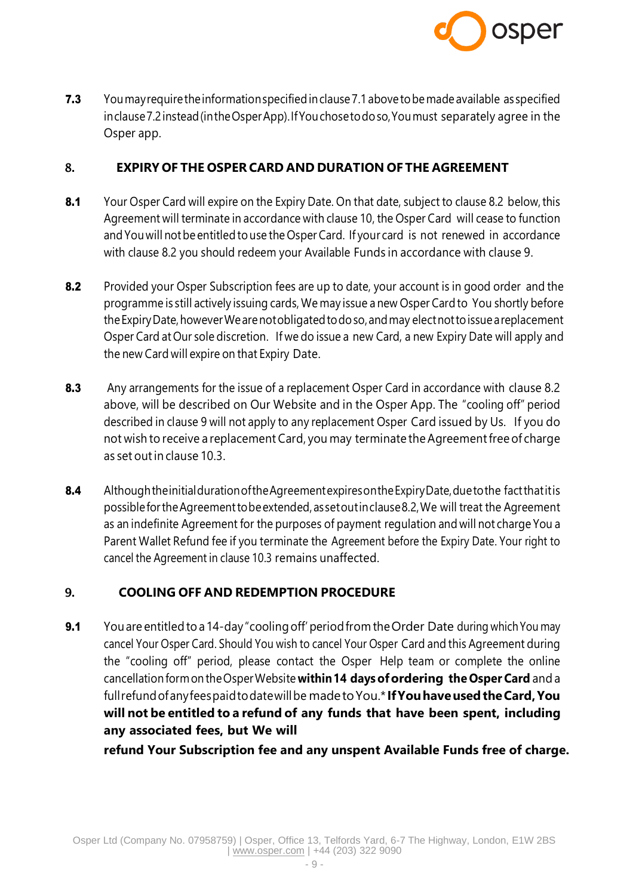

7.3 You may require the information specified in clause 7.1 above to be made available as specified inclause7.2instead(intheOsperApp).IfYouchosetodoso,Youmust separately agree in the Osper app.

### 8. **EXPIRY OF THE OSPERCARD AND DURATION OF THE AGREEMENT**

- 8.1 Your Osper Card will expire on the Expiry Date. On that date, subject to clause 8.2 below, this Agreement will terminate in accordance with clause 10, the Osper Card will cease to function andYouwill notbe entitledtouse the Osper Card. If your card is not renewed in accordance with clause 8.2 you should redeem your Available Funds in accordance with clause 9.
- 8.2 Provided your Osper Subscription fees are up to date, your account is in good order and the programme is still actively issuing cards, We may issue a new Osper Cardto You shortly before theExpiryDate,howeverWearenotobligatedtodoso,andmay electnottoissueareplacement Osper Card at Our sole discretion. If we do issue a new Card, a new Expiry Date will apply and the new Card will expire on that Expiry Date.
- 8.3 Any arrangements for the issue of a replacement Osper Card in accordance with clause 8.2 above, will be described on Our Website and in the Osper App. The "cooling off" period described in clause 9 will not apply to any replacement Osper Card issued by Us. If you do not wish to receive a replacement Card, you may terminate the Agreement free of charge as set outin clause 10.3.
- 8.4 Although the initial duration of the Agreement expires on the Expiry Date, due to the fact that it is possiblefortheAgreementtobeextended,assetoutinclause8.2,We will treat the Agreement as an indefinite Agreement for the purposes of payment regulation and will not charge You a Parent Wallet Refund fee if you terminate the Agreement before the Expiry Date. Your right to cancel the Agreement in clause 10.3 remains unaffected.

# 9. **COOLING OFF AND REDEMPTION PROCEDURE**

9.1 You are entitled to a 14-day "cooling off' period from the Order Date during which You may cancel Your Osper Card. Should You wish to cancel Your Osper Card and this Agreement during the "cooling off" period, please contact the Osper Help team or complete the online cancellationformontheOsperWebsite **within14 daysofordering the Osper Card** and a fullrefundofanyfeespaidtodatewillbe madetoYou.\* **IfYouhaveusedtheCard,You will not be entitled to a refund of any funds that have been spent, including any associated fees, but We will**

**refund Your Subscription fee and any unspent Available Funds free of charge.**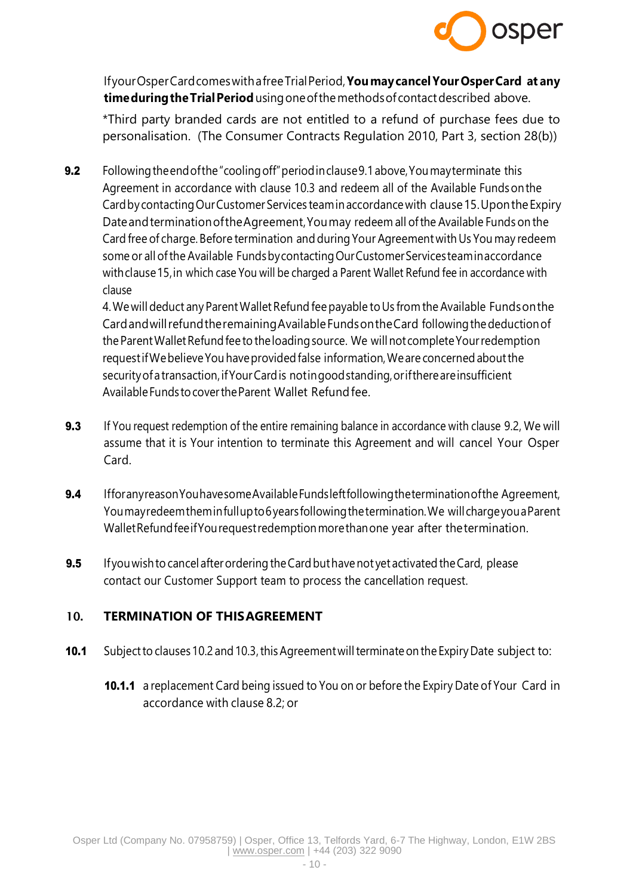

IfyourOsperCardcomeswithafreeTrialPeriod,**YoumaycancelYourOsperCard at any timeduringtheTrialPeriod**usingoneofthemethodsof contactdescribed above.

\*Third party branded cards are not entitled to a refund of purchase fees due to personalisation. (The Consumer Contracts Regulation 2010, Part 3, section 28(b))

9.2 Following the end of the "cooling off" period in clause 9.1 above, You may terminate this Agreement in accordance with clause 10.3 and redeem all of the Available Fundsonthe Cardby contactingOurCustomerServices teamin accordancewith clause15.Uponthe Expiry DateandterminationoftheAgreement,Youmay redeem all ofthe Available Funds on the Card free of charge. Before termination and during Your Agreement with Us You may redeem some or all of the Available Fundsby contacting Our Customer Services teaminaccordance withclause15,in which case You will be charged a Parent Wallet Refund fee in accordance with clause

4. We will deduct any Parent Wallet Refund fee payable to Us from the Available Funds on the CardandwillrefundtheremainingAvailableFundsontheCard followingthedeductionof the Parent Wallet Refund fee to the loading source. We will not complete Your redemption request if We believe You have provided false information, We are concerned about the security of a transaction, if Your Card is not in good standing, or if there are insufficient Available Funds to cover the Parent Wallet Refund fee.

- 9.3 If You request redemption of the entire remaining balance in accordance with clause 9.2, We will assume that it is Your intention to terminate this Agreement and will cancel Your Osper Card.
- 9.4 Ifforanyreason You havesome Available Fundsleft following the termination of the Agreement, Youmayredeemtheminfullupto6yearsfollowingthetermination.We will chargeyouaParent WalletRefundfeeifYourequestredemptionmorethanone year after thetermination.
- **9.5** If you wish to cancel after ordering the Card but have not yet activated the Card, please contact our Customer Support team to process the cancellation request.

# 10. **TERMINATION OF THISAGREEMENT**

- 10.1 Subject to clauses 10.2 and 10.3, this Agreement will terminate on the Expiry Date subject to:
	- 10.1.1 a replacement Card being issued to You on or before the Expiry Date of Your Card in accordance with clause 8.2; or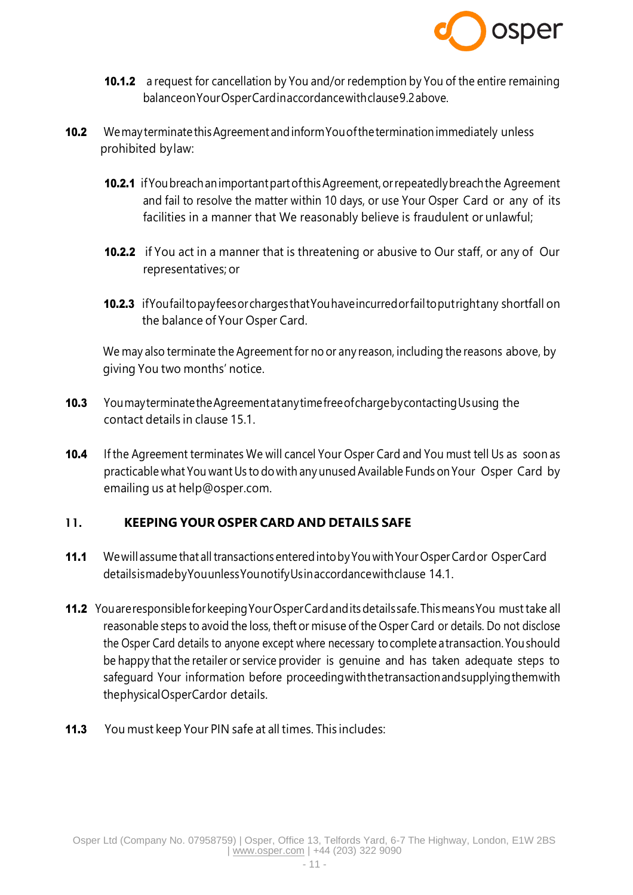

- **10.1.2** a request for cancellation by You and/or redemption by You of the entire remaining balanceonYourOsperCardinaccordancewithclause9.2above.
- 10.2 Wemay terminate this Agreement and inform You of the termination immediately unless prohibited bylaw:
	- 10.2.1 if You breach an important part of this Agreement, or repeatedly breach the Agreement and fail to resolve the matter within 10 days, or use Your Osper Card or any of its facilities in a manner that We reasonably believe is fraudulent or unlawful;
	- **10.2.2** if You act in a manner that is threatening or abusive to Our staff, or any of Our representatives; or
	- 10.2.3 if You fail to pay fees or charges that You have incurred or fail to put right any shortfall on the balance of Your Osper Card.

We may also terminate the Agreement for no or any reason, including the reasons above, by giving You two months' notice.

- 10.3 You may terminate the Agreement at any time free of charge by contacting Ususing the contact details in clause 15.1.
- 10.4 If the Agreement terminates We will cancel Your Osper Card and You must tell Us as soon as practicable what You want Us to do with any unused Available Funds on Your Osper Card by emailing us at [help@osper.com.](mailto:help@osper.com)

# 11. **KEEPING YOUR OSPER CARD AND DETAILS SAFE**

- 11.1 We will assume that all transactions entered into by You with Your Osper Card or Osper Card detailsismadebyYouunlessYounotifyUsinaccordancewithclause 14.1.
- 11.2 You are responsible for keeping Your Osper Card and its details safe. This means You must take all reasonable steps to avoid the loss, theft or misuse of the Osper Card or details. Do not disclose the Osper Card details to anyone except where necessary tocomplete atransaction.Youshould be happy that the retailer or service provider is genuine and has taken adequate steps to safeguard Your information before proceedingwiththetransactionandsupplyingthemwith thephysicalOsperCardor details.
- 11.3 You must keep Your PIN safe at all times. This includes: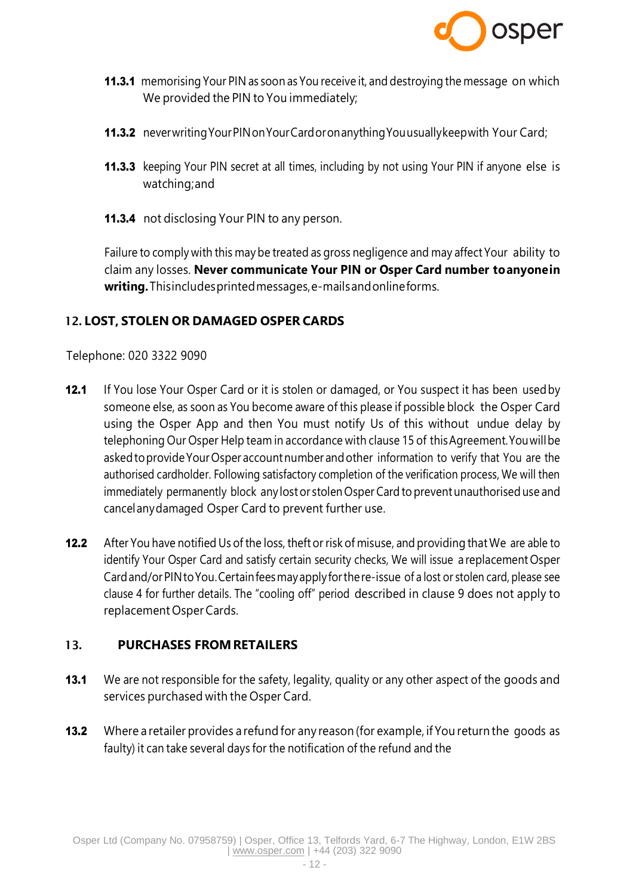

- **11.3.1** memorising Your PIN as soon as You receive it, and destroying the message on which We provided the PIN to You immediately;
- 11.3.2 never writing Your PIN on Your Card or on anything You usually keep with Your Card;
- **11.3.3** keeping Your PIN secret at all times, including by not using Your PIN if anyone else is watching;and
- **11.3.4** not disclosing Your PIN to any person.

Failure to comply with this may be treated as gross negligence and may affect Your ability to claim any losses. **Never communicate Your PIN or Osper Card number toanyonein writing.**Thisincludesprintedmessages,e-mailsandonlineforms.

### 12. **LOST, STOLEN OR DAMAGED OSPER CARDS**

Telephone: 020 3322 9090

- **12.1** If You lose Your Osper Card or it is stolen or damaged, or You suspect it has been used by someone else, as soon as You become aware of this please if possible block the Osper Card using the Osper App and then You must notify Us of this without undue delay by telephoning Our Osper Help team in accordance with clause 15 of thisAgreement.Youwillbe asked to provide Your Osper account number and other information to verify that You are the authorised cardholder. Following satisfactory completion of the verification process, We will then immediately permanently block any lost or stolen Osper Card to prevent unauthorised use and cancelanydamaged Osper Card to prevent further use.
- **12.2** After You have notified Us of the loss, theft or risk of misuse, and providing that We are able to identify Your Osper Card and satisfy certain security checks, We will issue areplacement Osper Cardand/orPINtoYou.Certainfeesmayapplyforthere-issue of a lost or stolen card, please see clause 4 for further details. The "cooling off" period described in clause 9 does not apply to replacement OsperCards.

### 13. **PURCHASES FROMRETAILERS**

- **13.1** We are not responsible for the safety, legality, quality or any other aspect of the goods and services purchased with the Osper Card.
- **13.2** Where a retailer provides a refund for any reason (for example, if You return the goods as faulty) it can take several days for the notification of the refund and the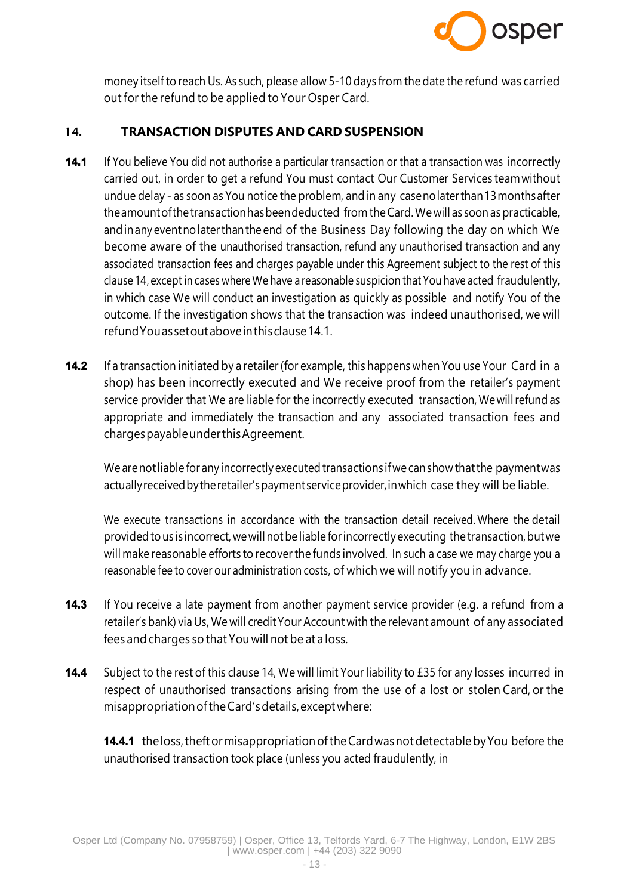

money itselfto reach Us. As such, please allow 5-10 days from the date the refund was carried outfor the refund to be applied to Your Osper Card.

### 14. **TRANSACTION DISPUTES AND CARD SUSPENSION**

- 14.1 If You believe You did not authorise a particular transaction or that a transaction was incorrectly carried out, in order to get a refund You must contact Our Customer Services teamwithout undue delay - as soon as You notice the problem, and in any casenolaterthan13monthsafter the amount of the transaction has been deducted from the Card. We will as soon as practicable, andinanyeventnolaterthanthe end of the Business Day following the day on which We become aware of the unauthorised transaction, refund any unauthorised transaction and any associated transaction fees and charges payable under this Agreement subject to the rest of this clause 14, except in cases whereWe have a reasonable suspicion that You have acted fraudulently, in which case We will conduct an investigation as quickly as possible and notify You of the outcome. If the investigation shows that the transaction was indeed unauthorised, we will refundYouassetoutaboveinthisclause14.1.
- 14.2 If a transaction initiated by a retailer (for example, this happens when You use Your Card in a shop) has been incorrectly executed and We receive proof from the retailer's payment service provider that We are liable for the incorrectly executed transaction, We will refund as appropriate and immediately the transaction and any associated transaction fees and chargespayableunderthisAgreement.

We arenotliable for any incorrectly executed transactions ifwe canshow thatthe paymentwas actuallyreceivedbytheretailer'spaymentserviceprovider,inwhich case they will be liable.

We execute transactions in accordance with the transaction detail received. Where the detail providedto us is incorrect,wewillnotbe liable forincorrectly executing thetransaction,butwe will make reasonable efforts to recover the funds involved. In such a case we may charge you a reasonable fee to cover our administration costs, of which we will notify you in advance.

- **14.3** If You receive a late payment from another payment service provider (e.g. a refund from a retailer's bank) via Us, We will credit Your Account with the relevant amount of any associated fees and charges so that You will not be at a loss.
- 14.4 Subject to the rest of this clause 14, We will limit Your liability to £35 for any losses incurred in respect of unauthorised transactions arising from the use of a lost or stolen Card, or the misappropriationoftheCard'sdetails,exceptwhere:

14.4.1 the loss, theft or misappropriation of the Card was not detectable by You before the unauthorised transaction took place (unless you acted fraudulently, in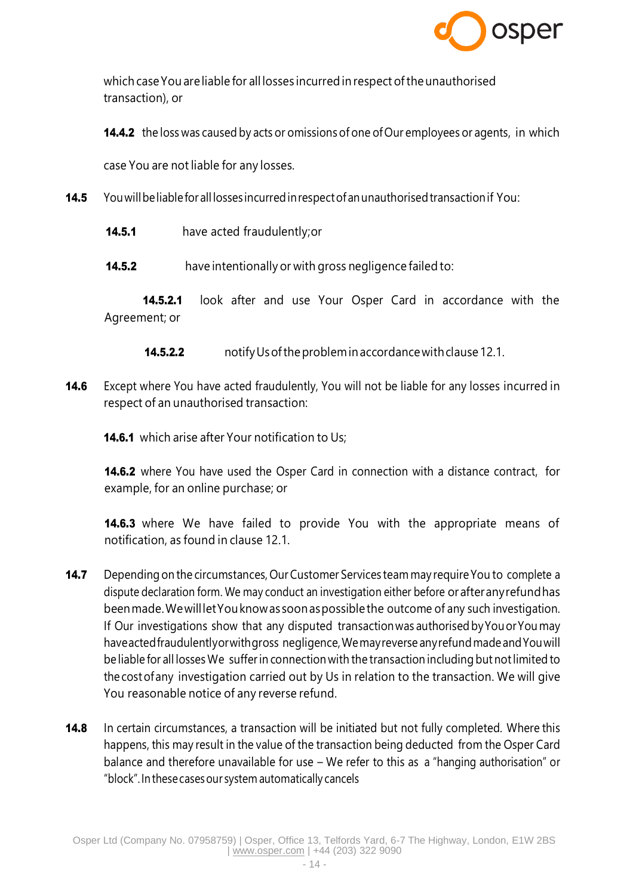

which case You are liable for all losses incurred in respect of the unauthorised transaction), or

**14.4.2** the loss was caused by acts or omissions of one of Our employees or agents, in which

case You are not liable for any losses.

- 14.5 You will be liable for all losses incurred in respect of an unauthorised transaction if You:
	- **14.5.1** have acted fraudulently; or

**14.5.2** have intentionally or with gross negligence failed to:

**14.5.2.1** look after and use Your Osper Card in accordance with the Agreement; or

**14.5.2.2** notify Us of the problem in accordance with clause 12.1.

**14.6** Except where You have acted fraudulently, You will not be liable for any losses incurred in respect of an unauthorised transaction:

**14.6.1** which arise after Your notification to Us;

**14.6.2** where You have used the Osper Card in connection with a distance contract, for example, for an online purchase; or

**14.6.3** where We have failed to provide You with the appropriate means of notification, as found in clause 12.1.

- **14.7** Depending on the circumstances, Our Customer Services team may require You to complete a dispute declaration form. We may conduct an investigation either before orafteranyrefundhas beenmade.WewillletYouknowas soonaspossiblethe outcome of any such investigation. If Our investigations show that any disputed transactionwas authorisedbyYouorYou may haveacted fraudulentlyor with gross negligence, We may reverse any refund made and You will be liable for all losses We sufferin connection with the transaction including but notlimited to the costof any investigation carried out by Us in relation to the transaction. We will give You reasonable notice of any reverse refund.
- **14.8** In certain circumstances, a transaction will be initiated but not fully completed. Where this happens, this may result in the value of the transaction being deducted from the Osper Card balance and therefore unavailable for use – We refer to this as a "hanging authorisation" or "block".In thesecasesour system automatically cancels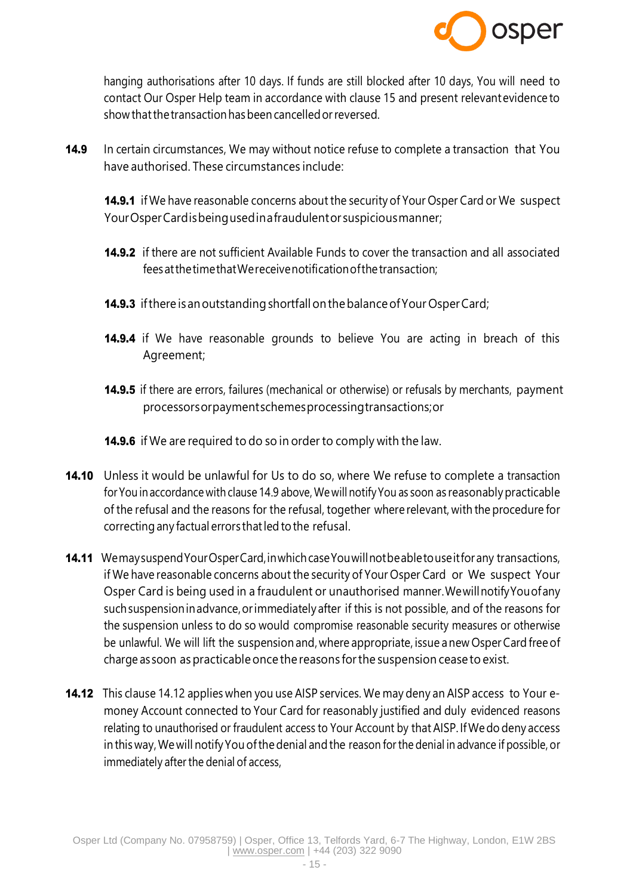

hanging authorisations after 10 days. If funds are still blocked after 10 days, You will need to contact Our Osper Help team in accordance with clause 15 and present relevantevidence to show thatthetransactionhasbeen cancelledorreversed.

14.9 In certain circumstances, We may without notice refuse to complete a transaction that You have authorised. These circumstances include:

**14.9.1** if We have reasonable concerns about the security of Your Osper Card or We suspect YourOsperCardisbeingusedinafraudulentor suspiciousmanner;

- 14.9.2 if there are not sufficient Available Funds to cover the transaction and all associated feesatthetimethatWereceivenotificationofthetransaction;
- **14.9.3** if there is an outstanding shortfall on the balance of Your Osper Card;
- **14.9.4** if We have reasonable grounds to believe You are acting in breach of this Agreement;
- **14.9.5** if there are errors, failures (mechanical or otherwise) or refusals by merchants, payment processorsorpaymentschemesprocessingtransactions;or
- **14.9.6** if We are required to do so in order to comply with the law.
- **14.10** Unless it would be unlawful for Us to do so, where We refuse to complete a transaction for You in accordance with clause 14.9 above, We will notify You as soon as reasonably practicable of the refusal and the reasons for the refusal, together where relevant, with the procedure for correcting any factual errors thatled to the refusal.
- 14.11 Wemay suspend Your Osper Card, in which case You will not be able to use it for any transactions, if We have reasonable concerns about the security of Your Osper Card or We suspect Your Osper Card is being used in a fraudulent or unauthorised manner.WewillnotifyYouofany suchsuspensioninadvance,orimmediately after if this is not possible, and of the reasons for the suspension unless to do so would compromise reasonable security measures or otherwise be unlawful. We will lift the suspension and,where appropriate, issue anew OsperCard freeof charge as soon aspracticableonce the reasons forthe suspension cease to exist.
- **14.12** This clause 14.12 applies when you use AISP services. We may deny an AISP access to Your emoney Account connected to Your Card for reasonably justified and duly evidenced reasons relating to unauthorised or fraudulent access to Your Account by that AISP. If We do deny access in this way, We will notify You of the denial and the reason for the denial in advance if possible, or immediately after the denial of access,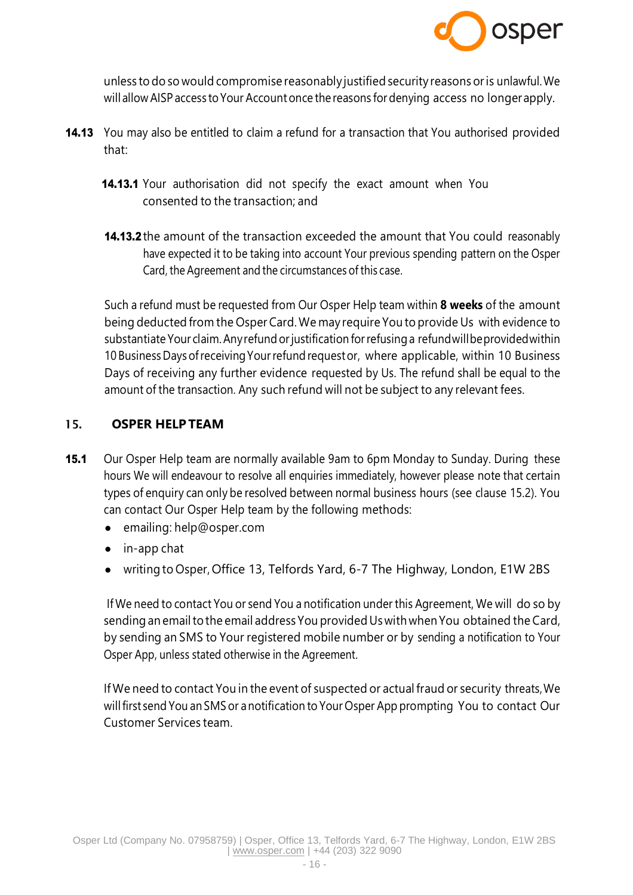

unless to do so would compromise reasonably justified security reasons oris unlawful.We will allow AISP access to Your Account once the reasons for denying access no longer apply.

- 14.13 You may also be entitled to claim a refund for a transaction that You authorised provided that:
	- 14.13.1 Your authorisation did not specify the exact amount when You consented to the transaction; and
	- **14.13.2** the amount of the transaction exceeded the amount that You could reasonably have expected it to be taking into account Your previous spending pattern on the Osper Card, the Agreement and the circumstances of this case.

Such a refund must be requested from Our Osper Help team within **8 weeks** of the amount being deducted from the Osper Card.We may require You to provide Us with evidence to substantiate Your claim. Any refund or justification for refusing a refund will be provided within 10 Business Days of receiving Your refund requestor, where applicable, within 10 Business Days of receiving any further evidence requested by Us. The refund shall be equal to the amount of the transaction. Any such refund will not be subject to any relevant fees.

### 15. **OSPER HELP TEAM**

- **15.1** Our Osper Help team are normally available 9am to 6pm Monday to Sunday. During these hours We will endeavour to resolve all enquiries immediately, however please note that certain types of enquiry can only be resolved between normal business hours (see clause 15.2). You can contact Our Osper Help team by the following methods:
	- emailing: [help@osper.com](mailto:help@osper.com)
	- in-app chat
	- writing to Osper, Office 13, Telfords Yard, 6-7 The Highway, London, E1W 2BS

If We need to contact You or send You a notification under this Agreement, We will do so by sending an email to the email address You provided Us with when You obtained the Card, by sending an SMS to Your registered mobile number or by sending a notification to Your Osper App, unless stated otherwise in the Agreement.

If We need to contact You in the event of suspected or actual fraud or security threats,We willfirst send You anSMS or anotification to Your Osper App prompting You to contact Our Customer Services team.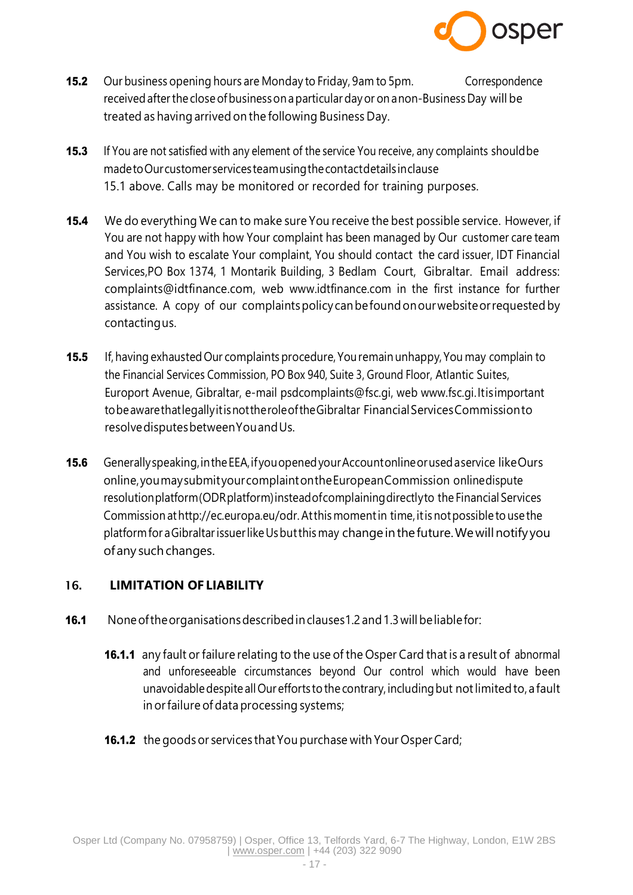

- **15.2** Our business opening hours are Monday to Friday, 9am to 5pm. Correspondence receivedafterthe closeofbusinesson aparticular dayor onanon-Business Day will be treated as having arrived on the following Business Day.
- **15.3** If You are not satisfied with any element of the service You receive, any complaints should be madetoOurcustomerservicesteamusingthecontactdetailsinclause 15.1 above. Calls may be monitored or recorded for training purposes.
- **15.4** We do everything We can to make sure You receive the best possible service. However, if You are not happy with how Your complaint has been managed by Our customer care team and You wish to escalate Your complaint, You should contact the card issuer, IDT Financial Services,PO Box 1374, 1 Montarik Building, 3 Bedlam Court, Gibraltar. Email address: [complaints@idtfinance.com,](mailto:complaints@idtfinance.com) web [www.idtfinance.com](http://www.idtfinance.com/) in the first instance for further assistance. A copy of our complaintspolicy canbefoundonourwebsiteorrequestedby contactingus.
- 15.5 If, having exhausted Our complaints procedure, You remain unhappy, You may complain to the Financial Services Commission, PO Box 940, Suite 3, Ground Floor, Atlantic Suites, Europort Avenue, Gibraltar, e-mail [psdcomplaints@fsc.gi, w](mailto:psdcomplaints@fsc.gi)eb [www.fsc.gi.I](http://www.fsc.gi/)tisimportant tobeawarethatlegallyitisnottheroleoftheGibraltar FinancialServicesCommissionto resolvedisputesbetweenYouandUs.
- **15.6** Generallyspeaking, in the EEA, if you opened your Account online or used a service like Ours online,youmaysubmityourcomplaintontheEuropeanCommission onlinedispute resolutionplatform(ODRplatform)insteadofcomplainingdirectlyto the Financial Services Commission at http://ec.europa.eu/odr. At this moment in time, it is not possible to use the platformfor aGibraltarissuerlikeUsbutthismay changeinthefuture.Wewillnotifyyou ofany such changes.

### 16. **LIMITATION OF LIABILITY**

- 16.1 None of the organisations described in clauses 1.2 and 1.3 will be liable for:
	- 16.1.1 any fault or failure relating to the use of the Osper Card that is a result of abnormal and unforeseeable circumstances beyond Our control which would have been unavoidabledespite allOur efforts tothe contrary, includingbut notlimitedto,afault in orfailure of data processing systems;
	- 16.1.2 the goods or services that You purchase with Your Osper Card;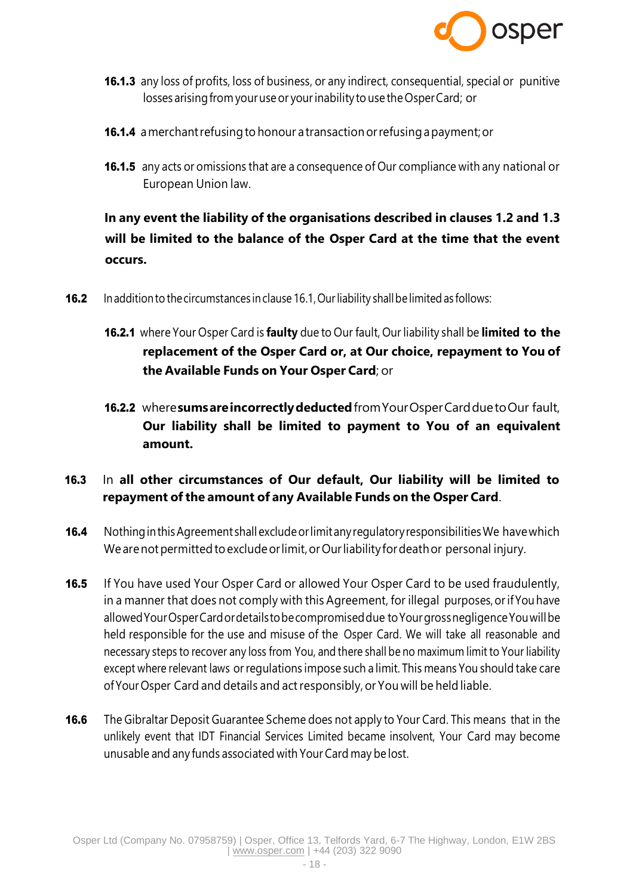

- 16.1.3 any loss of profits, loss of business, or any indirect, consequential, special or punitive losses arising from your use or your inability to use the Osper Card; or
- 16.1.4 a merchant refusing to honour a transaction or refusing a payment; or
- **16.1.5** any acts or omissions that are a consequence of Our compliance with any national or European Union law.

**In any event the liability of the organisations described in clauses 1.2 and 1.3 will be limited to the balance of the Osper Card at the time that the event occurs.**

- **16.2** In addition to the circumstances in clause 16.1, Our liability shall be limited as follows:
	- 16.2.1 where Your Osper Card is **faulty** due to Our fault, Our liability shall be **limited to the replacement of the Osper Card or, at Our choice, repayment to You of the Available Funds on Your Osper Card**; or
	- 16.2.2 where**sumsareincorrectlydeducted**fromYourOsperCardduetoOur fault, **Our liability shall be limited to payment to You of an equivalent amount.**

# 16.3 In **all other circumstances of Our default, Our liability will be limited to repayment ofthe amount of any Available Funds on the Osper Card**.

- 16.4 Nothing in this Agreement shall exclude or limit any regulatory responsibilities We have which We are not permitted to exclude or limit, or Our liability for death or personal injury.
- **16.5** If You have used Your Osper Card or allowed Your Osper Card to be used fraudulently, in a manner that does not comply with this Agreement, for illegal purposes, or if You have allowedYourOsperCardordetailstobecompromiseddue toYourgrossnegligenceYouwillbe held responsible for the use and misuse of the Osper Card. We will take all reasonable and necessary steps to recover any loss from You, and there shall be no maximum limit to Your liability except where relevant laws orregulations impose such a limit. This means You should take care ofYourOsper Card and details and actresponsibly, or You will be held liable.
- **16.6** The Gibraltar Deposit Guarantee Scheme does not apply to Your Card. This means that in the unlikely event that IDT Financial Services Limited became insolvent, Your Card may become unusable and any funds associated with Your Card may be lost.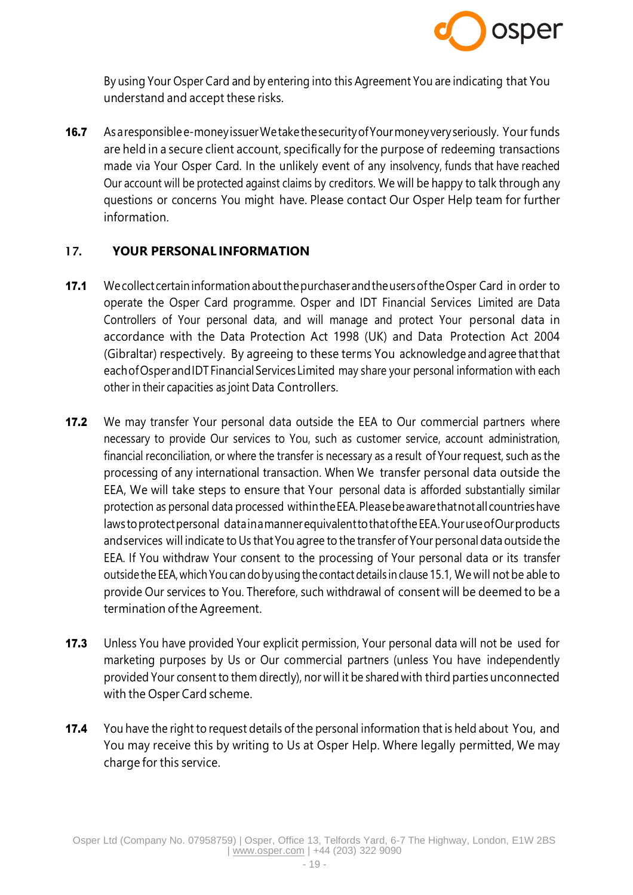

By using Your Osper Card and by entering into this Agreement You are indicating that You understand and accept these risks.

16.7 As a responsible e-money issuer We take the security of Your money very seriously. Your funds are held in a secure client account, specifically for the purpose of redeeming transactions made via Your Osper Card. In the unlikely event of any insolvency, funds that have reached Our account will be protected against claims by creditors. We will be happy to talk through any questions or concerns You might have. Please contact Our Osper Help team for further information.

### 17. **YOUR PERSONAL INFORMATION**

- 17.1 We collect certain information about the purchaser and the users of the Osper Card in order to operate the Osper Card programme. Osper and IDT Financial Services Limited are Data Controllers of Your personal data, and will manage and protect Your personal data in accordance with the Data Protection Act 1998 (UK) and Data Protection Act 2004 (Gibraltar) respectively. By agreeing to these terms You acknowledge andagree thatthat each of Osper and IDT Financial Services Limited may share your personal information with each other in their capacities as joint Data Controllers.
- **17.2** We may transfer Your personal data outside the EEA to Our commercial partners where necessary to provide Our services to You, such as customer service, account administration, financial reconciliation, or where the transfer is necessary as a result of Your request, such as the processing of any international transaction. When We transfer personal data outside the EEA, We will take steps to ensure that Your personal data is afforded substantially similar protection as personal data processed withintheEEA.Pleasebeawarethatnotallcountrieshave laws toprotectpersonal datainamannerequivalenttothatoftheEEA.YouruseofOurproducts and services will indicate to Us that You agree to the transfer of Your personal data outside the EEA. If You withdraw Your consent to the processing of Your personal data or its transfer outsidethe EEA,which You can dobyusing the contact details in clause 15.1, We will not be able to provide Our services to You. Therefore, such withdrawal of consent will be deemed to be a termination of the Agreement.
- **17.3** Unless You have provided Your explicit permission, Your personal data will not be used for marketing purposes by Us or Our commercial partners (unless You have independently provided Your consent to them directly), nor will it be shared with third parties unconnected with the Osper Card scheme.
- 17.4 You have the right to request details of the personal information that is held about You, and You may receive this by writing to Us at Osper Help. Where legally permitted, We may charge for this service.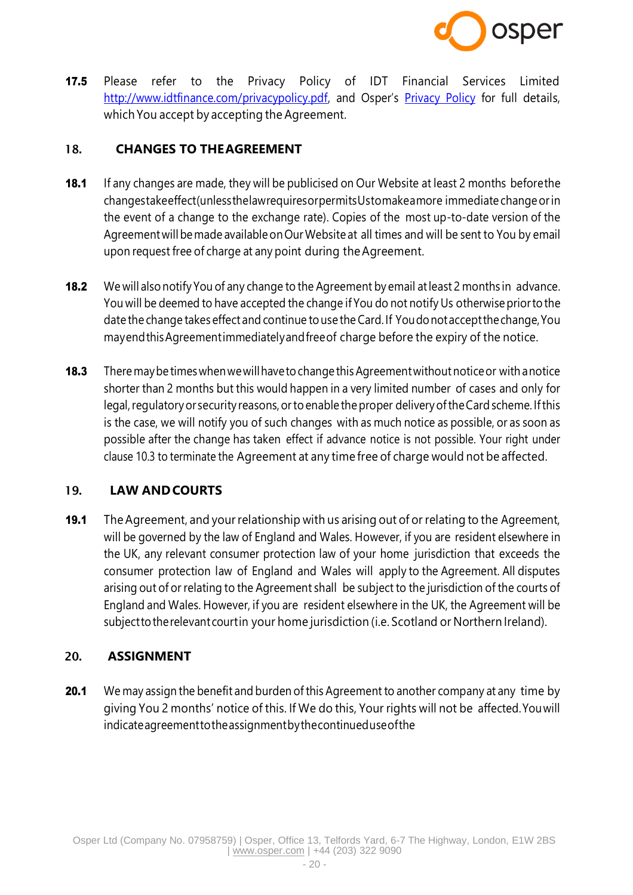

17.5 Please refer to the Privacy Policy of IDT Financial Services Limite[d](http://www.idtfinance.com/privacypolicy.pdf) [http://www.idtfinance.com/privacypolicy.pdf,](http://www.idtfinance.com/privacypolicy.pdf) and Osper's [Privacy Policy](https://osper.com/terms/osper-privacy-policy.pdf) for full details, which You accept by accepting the Agreement.

### 18. **CHANGES TO THEAGREEMENT**

- **18.1** If any changes are made, they will be publicised on Our Website at least 2 months beforethe changestakeeffect(unlessthelawrequiresorpermitsUstomakeamore immediate changeorin the event of a change to the exchange rate). Copies of the most up-to-date version of the Agreementwillbemade availableonOurWebsite at all times and will be sent to You by email upon request free of charge at any point during theAgreement.
- 18.2 We will also notify You of any change to the Agreement by email at least 2 months in advance. You will be deemed to have accepted the change if You do not notify Us otherwisepriorto the date the change takes effect and continue touse the Card. If Youdonotacceptthechange,You mayendthisAgreementimmediatelyandfreeof charge before the expiry of the notice.
- **18.3** There may be times when we will have to change this Agreement without notice or with a notice shorter than 2 months but this would happen in a very limited number of cases and only for legal, regulatory or security reasons, or to enable the proper delivery of the Card scheme. If this is the case, we will notify you of such changes with as much notice as possible, or as soon as possible after the change has taken effect if advance notice is not possible. Your right under clause 10.3 to terminate the Agreement at any time free of charge would not be affected.

### 19. **LAW ANDCOURTS**

19.1 The Agreement, and your relationship with us arising out of or relating to the Agreement, will be governed by the law of England and Wales. However, if you are resident elsewhere in the UK, any relevant consumer protection law of your home jurisdiction that exceeds the consumer protection law of England and Wales will apply to the Agreement. All disputes arising out of or relating to the Agreement shall be subject to the jurisdiction of the courts of England and Wales. However, if you are resident elsewhere in the UK, the Agreement will be subjecttotherelevant courtin your home jurisdiction (i.e. Scotland or Northern Ireland).

### 20. **ASSIGNMENT**

**20.1** We may assign the benefit and burden of this Agreement to another company at any time by giving You 2 months' notice of this. If We do this, Your rights will not be affected.Youwill indicateagreementtotheassignmentbythecontinueduseofthe